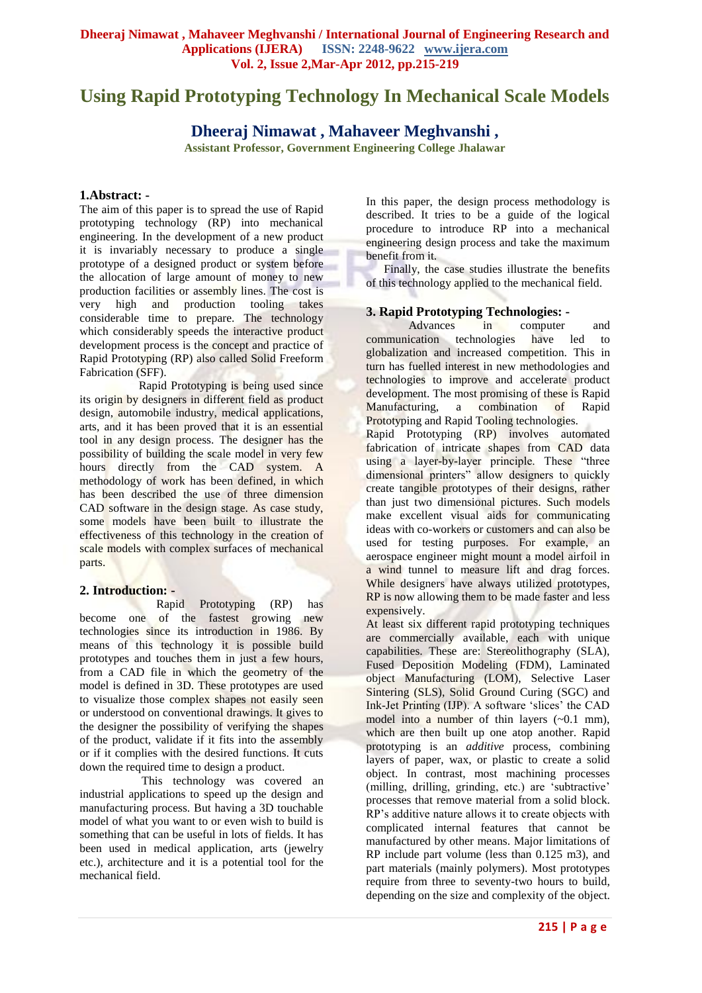# **Using Rapid Prototyping Technology In Mechanical Scale Models**

# **Dheeraj Nimawat , Mahaveer Meghvanshi ,**

**Assistant Professor, Government Engineering College Jhalawar**

#### **1.Abstract: -**

The aim of this paper is to spread the use of Rapid prototyping technology (RP) into mechanical engineering. In the development of a new product it is invariably necessary to produce a single prototype of a designed product or system before the allocation of large amount of money to new production facilities or assembly lines. The cost is very high and production tooling takes considerable time to prepare. The technology which considerably speeds the interactive product development process is the concept and practice of Rapid Prototyping (RP) also called Solid Freeform Fabrication (SFF).

 Rapid Prototyping is being used since its origin by designers in different field as product design, automobile industry, medical applications, arts, and it has been proved that it is an essential tool in any design process. The designer has the possibility of building the scale model in very few hours directly from the CAD system. A methodology of work has been defined, in which has been described the use of three dimension CAD software in the design stage. As case study, some models have been built to illustrate the effectiveness of this technology in the creation of scale models with complex surfaces of mechanical parts.

#### **2. Introduction: -**

Rapid Prototyping (RP) has become one of the fastest growing new technologies since its introduction in 1986. By means of this technology it is possible build prototypes and touches them in just a few hours, from a CAD file in which the geometry of the model is defined in 3D. These prototypes are used to visualize those complex shapes not easily seen or understood on conventional drawings. It gives to the designer the possibility of verifying the shapes of the product, validate if it fits into the assembly or if it complies with the desired functions. It cuts down the required time to design a product.

 This technology was covered an industrial applications to speed up the design and manufacturing process. But having a 3D touchable model of what you want to or even wish to build is something that can be useful in lots of fields. It has been used in medical application, arts (jewelry etc.), architecture and it is a potential tool for the mechanical field.

In this paper, the design process methodology is described. It tries to be a guide of the logical procedure to introduce RP into a mechanical engineering design process and take the maximum benefit from it.

 Finally, the case studies illustrate the benefits of this technology applied to the mechanical field.

#### **3. Rapid Prototyping Technologies: -**

Advances in computer and communication technologies have led to globalization and increased competition. This in turn has fuelled interest in new methodologies and technologies to improve and accelerate product development. The most promising of these is Rapid Manufacturing, a combination of Rapid Prototyping and Rapid Tooling technologies.

Rapid Prototyping (RP) involves automated fabrication of intricate shapes from CAD data using a layer-by-layer principle. These "three dimensional printers" allow designers to quickly create tangible prototypes of their designs, rather than just two dimensional pictures. Such models make excellent visual aids for communicating ideas with co-workers or customers and can also be used for testing purposes. For example, an aerospace engineer might mount a model airfoil in a wind tunnel to measure lift and drag forces. While designers have always utilized prototypes, RP is now allowing them to be made faster and less expensively.

At least six different rapid prototyping techniques are commercially available, each with unique capabilities. These are: Stereolithography (SLA), Fused Deposition Modeling (FDM), Laminated object Manufacturing (LOM), Selective Laser Sintering (SLS), Solid Ground Curing (SGC) and Ink-Jet Printing (IJP). A software 'slices' the CAD model into a number of thin layers (~0.1 mm), which are then built up one atop another. Rapid prototyping is an *additive* process, combining layers of paper, wax, or plastic to create a solid object. In contrast, most machining processes (milling, drilling, grinding, etc.) are 'subtractive' processes that remove material from a solid block. RP"s additive nature allows it to create objects with complicated internal features that cannot be manufactured by other means. Major limitations of RP include part volume (less than 0.125 m3), and part materials (mainly polymers). Most prototypes require from three to seventy-two hours to build, depending on the size and complexity of the object.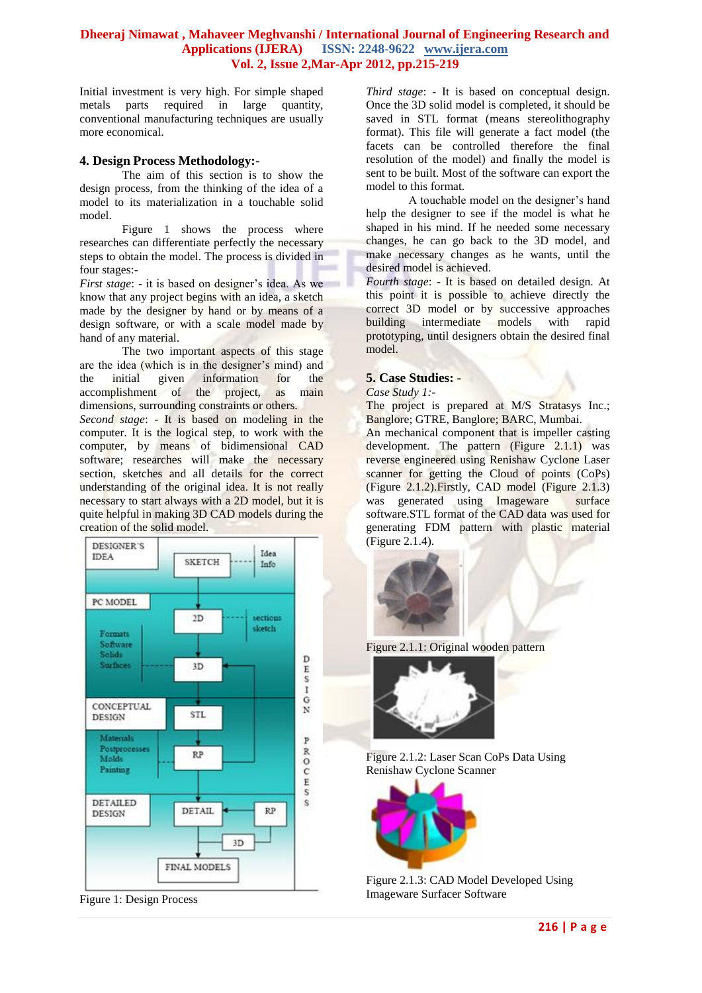Initial investment is very high. For simple shaped metals parts required in large quantity, conventional manufacturing techniques are usually more economical.

#### **4. Design Process Methodology:-**

The aim of this section is to show the design process, from the thinking of the idea of a model to its materialization in a touchable solid model.

Figure 1 shows the process where researches can differentiate perfectly the necessary steps to obtain the model. The process is divided in four stages:-

*First stage*: - it is based on designer's idea. As we know that any project begins with an idea, a sketch made by the designer by hand or by means of a design software, or with a scale model made by hand of any material.

The two important aspects of this stage are the idea (which is in the designer"s mind) and the initial given information for the accomplishment of the project, as main dimensions, surrounding constraints or others.

*Second stage*: - It is based on modeling in the computer. It is the logical step, to work with the computer, by means of bidimensional CAD software; researches will make the necessary section, sketches and all details for the correct understanding of the original idea. It is not really necessary to start always with a 2D model, but it is quite helpful in making 3D CAD models during the creation of the solid model.



Figure 1: Design Process

*Third stage*: - It is based on conceptual design. Once the 3D solid model is completed, it should be saved in STL format (means stereolithography format). This file will generate a fact model (the facets can be controlled therefore the final resolution of the model) and finally the model is sent to be built. Most of the software can export the model to this format.

A touchable model on the designer"s hand help the designer to see if the model is what he shaped in his mind. If he needed some necessary changes, he can go back to the 3D model, and make necessary changes as he wants, until the desired model is achieved.

*Fourth stage*: - It is based on detailed design. At this point it is possible to achieve directly the correct 3D model or by successive approaches building intermediate models with rapid prototyping, until designers obtain the desired final model.

#### **5. Case Studies: -**

*Case Study 1:-*

The project is prepared at M/S Stratasys Inc.; Banglore; GTRE, Banglore; BARC, Mumbai.

An mechanical component that is impeller casting development. The pattern (Figure 2.1.1) was reverse engineered using Renishaw Cyclone Laser scanner for getting the Cloud of points (CoPs) (Figure 2.1.2).Firstly, CAD model (Figure 2.1.3) was generated using Imageware surface software.STL format of the CAD data was used for generating FDM pattern with plastic material (Figure 2.1.4).

Figure 2.1.1: Original wooden pattern



Figure 2.1.2: Laser Scan CoPs Data Using Renishaw Cyclone Scanner



Figure 2.1.3: CAD Model Developed Using Imageware Surfacer Software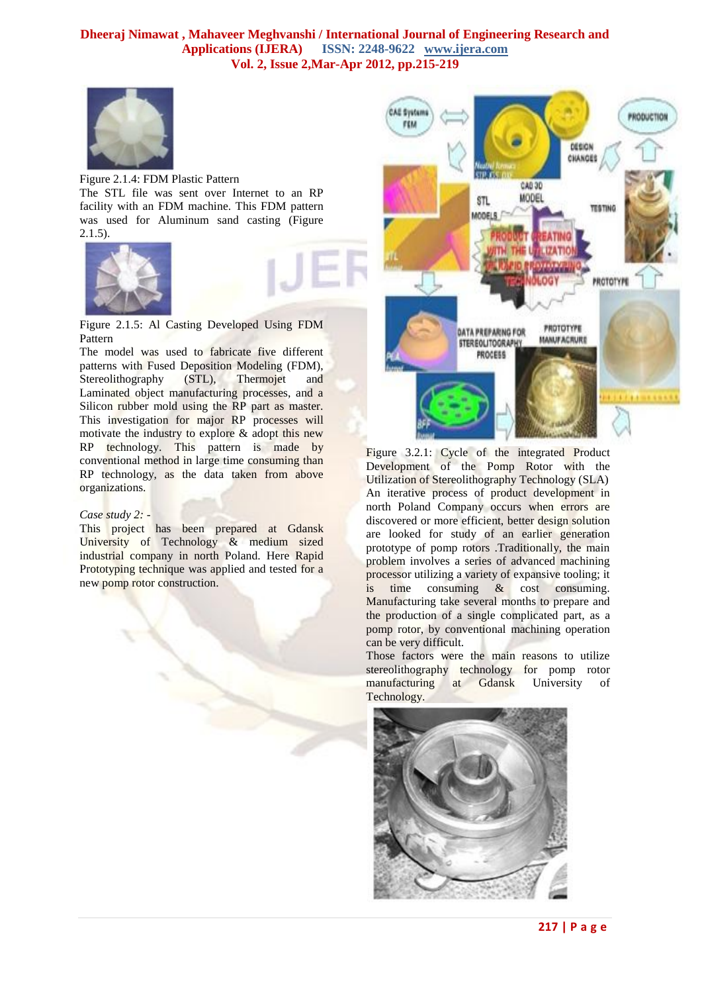

Figure 2.1.4: FDM Plastic Pattern The STL file was sent over Internet to an RP facility with an FDM machine. This FDM pattern was used for Aluminum sand casting (Figure  $2.1.5$ ).



Figure 2.1.5: Al Casting Developed Using FDM Pattern

The model was used to fabricate five different patterns with Fused Deposition Modeling (FDM), Stereolithography (STL), Thermojet and Laminated object manufacturing processes, and a Silicon rubber mold using the RP part as master. This investigation for major RP processes will motivate the industry to explore & adopt this new RP technology. This pattern is made by conventional method in large time consuming than RP technology, as the data taken from above organizations.

#### *Case study 2: -*

This project has been prepared at Gdansk University of Technology & medium sized industrial company in north Poland. Here Rapid Prototyping technique was applied and tested for a new pomp rotor construction.



Figure 3.2.1: Cycle of the integrated Product Development of the Pomp Rotor with the Utilization of Stereolithography Technology (SLA) An iterative process of product development in north Poland Company occurs when errors are discovered or more efficient, better design solution are looked for study of an earlier generation prototype of pomp rotors .Traditionally, the main problem involves a series of advanced machining processor utilizing a variety of expansive tooling; it is time consuming & cost consuming. Manufacturing take several months to prepare and the production of a single complicated part, as a pomp rotor, by conventional machining operation can be very difficult.

Those factors were the main reasons to utilize stereolithography technology for pomp rotor manufacturing at Gdansk University of Technology.

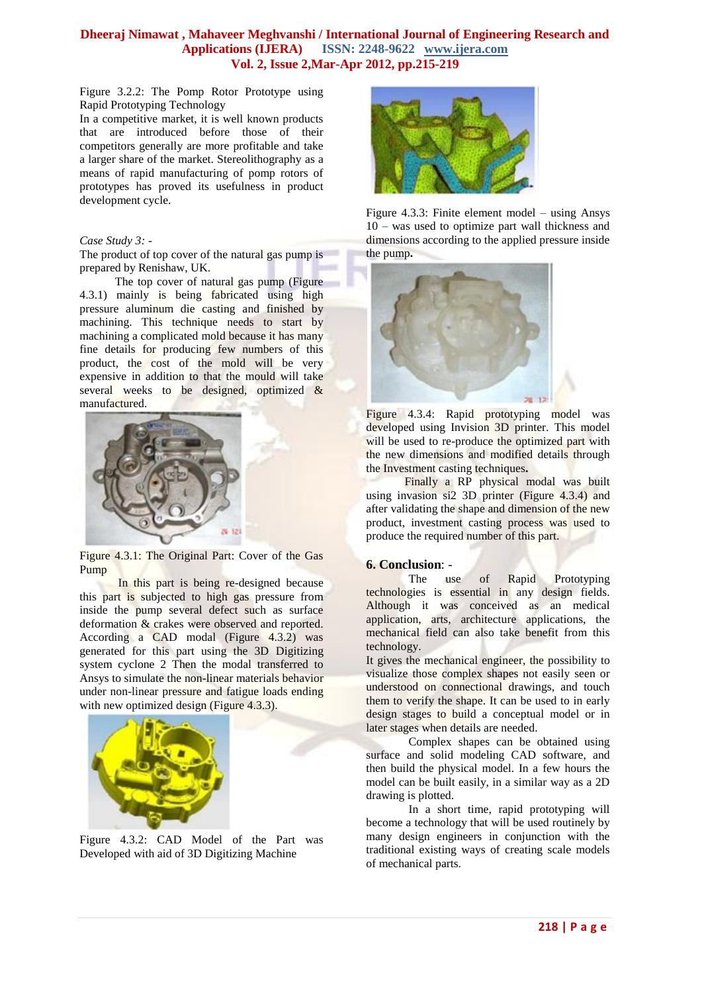Figure 3.2.2: The Pomp Rotor Prototype using Rapid Prototyping Technology

In a competitive market, it is well known products that are introduced before those of their competitors generally are more profitable and take a larger share of the market. Stereolithography as a means of rapid manufacturing of pomp rotors of prototypes has proved its usefulness in product development cycle.

#### *Case Study 3: -*

The product of top cover of the natural gas pump is prepared by Renishaw, UK.

 The top cover of natural gas pump (Figure 4.3.1) mainly is being fabricated using high pressure aluminum die casting and finished by machining. This technique needs to start by machining a complicated mold because it has many fine details for producing few numbers of this product, the cost of the mold will be very expensive in addition to that the mould will take several weeks to be designed, optimized & manufactured.



Figure 4.3.1: The Original Part: Cover of the Gas Pump

 In this part is being re-designed because this part is subjected to high gas pressure from inside the pump several defect such as surface deformation & crakes were observed and reported. According a CAD modal (Figure 4.3.2) was generated for this part using the 3D Digitizing system cyclone 2 Then the modal transferred to Ansys to simulate the non-linear materials behavior under non-linear pressure and fatigue loads ending with new optimized design (Figure 4.3.3).



Figure 4.3.2: CAD Model of the Part was Developed with aid of 3D Digitizing Machine



Figure 4.3.3: Finite element model – using Ansys 10 – was used to optimize part wall thickness and dimensions according to the applied pressure inside the pump**.**



Figure 4.3.4: Rapid prototyping model was developed using Invision 3D printer. This model will be used to re-produce the optimized part with the new dimensions and modified details through the Investment casting techniques**.**

 Finally a RP physical modal was built using invasion si2 3D printer (Figure 4.3.4) and after validating the shape and dimension of the new product, investment casting process was used to produce the required number of this part.

#### **6. Conclusion**: -

The use of Rapid Prototyping technologies is essential in any design fields. Although it was conceived as an medical application, arts, architecture applications, the mechanical field can also take benefit from this technology.

It gives the mechanical engineer, the possibility to visualize those complex shapes not easily seen or understood on connectional drawings, and touch them to verify the shape. It can be used to in early design stages to build a conceptual model or in later stages when details are needed.

Complex shapes can be obtained using surface and solid modeling CAD software, and then build the physical model. In a few hours the model can be built easily, in a similar way as a 2D drawing is plotted.

In a short time, rapid prototyping will become a technology that will be used routinely by many design engineers in conjunction with the traditional existing ways of creating scale models of mechanical parts.